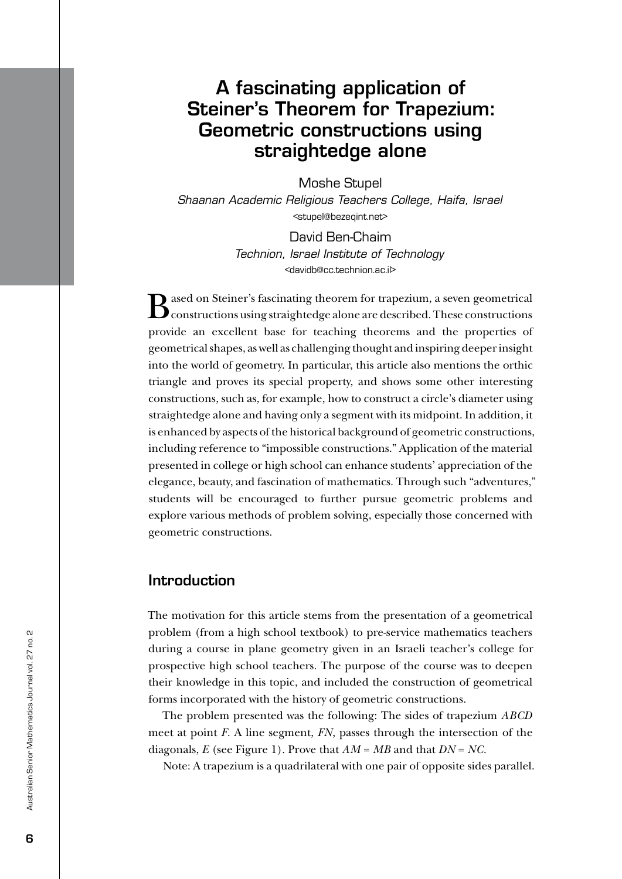# A fascinating application of Steiner's Theorem for Trapezium: Geometric constructions using straightedge alone

Moshe Stupel *Shaanan Academic Religious Teachers College, Haifa, Israel* <stupel@bezeqint.net>

> David Ben-Chaim *Technion, Israel Institute of Technology* <davidb@cc.technion.ac.il>

 $\mathbf D$  ased on Steiner's fascinating theorem for trapezium, a seven geometrical **Constructions using straightedge alone are described. These constructions** provide an excellent base for teaching theorems and the properties of geometrical shapes, as well as challenging thought and inspiring deeper insight into the world of geometry. In particular, this article also mentions the orthic triangle and proves its special property, and shows some other interesting constructions, such as, for example, how to construct a circle's diameter using straightedge alone and having only a segment with its midpoint. In addition, it is enhanced by aspects of the historical background of geometric constructions, including reference to "impossible constructions." Application of the material presented in college or high school can enhance students' appreciation of the elegance, beauty, and fascination of mathematics. Through such "adventures," students will be encouraged to further pursue geometric problems and explore various methods of problem solving, especially those concerned with geometric constructions.

# Introduction

The motivation for this article stems from the presentation of a geometrical problem (from a high school textbook) to pre-service mathematics teachers during a course in plane geometry given in an Israeli teacher's college for prospective high school teachers. The purpose of the course was to deepen their knowledge in this topic, and included the construction of geometrical forms incorporated with the history of geometric constructions.

The problem presented was the following: The sides of trapezium *ABCD* meet at point *F*. A line segment, *FN*, passes through the intersection of the diagonals, *E* (see Figure 1). Prove that *AM* = *MB* and that *DN* = *NC*.

Note: A trapezium is a quadrilateral with one pair of opposite sides parallel.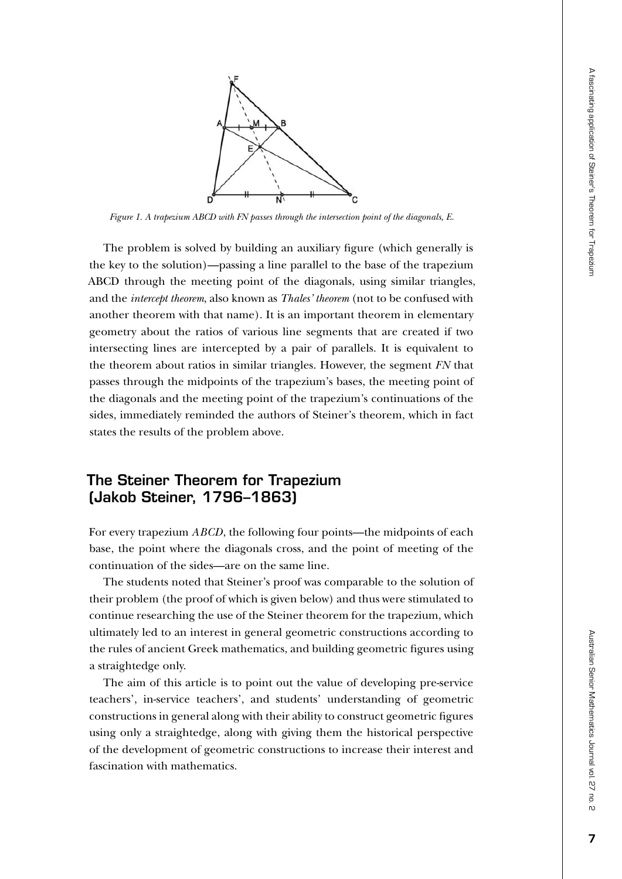

*Figure 1. A trapezium ABCD with FN passes through the intersection point of the diagonals, E.*

The problem is solved by building an auxiliary figure (which generally is the key to the solution)—passing a line parallel to the base of the trapezium ABCD through the meeting point of the diagonals, using similar triangles, and the *intercept theorem*, also known as *Thales' theorem* (not to be confused with another theorem with that name). It is an important theorem in elementary geometry about the ratios of various line segments that are created if two intersecting lines are intercepted by a pair of parallels. It is equivalent to the theorem about ratios in similar triangles. However, the segment *FN* that passes through the midpoints of the trapezium's bases, the meeting point of the diagonals and the meeting point of the trapezium's continuations of the sides, immediately reminded the authors of Steiner's theorem, which in fact states the results of the problem above.

# The Steiner Theorem for Trapezium (Jakob Steiner, 1796–1863)

For every trapezium *ABCD*, the following four points—the midpoints of each base, the point where the diagonals cross, and the point of meeting of the continuation of the sides—are on the same line.

The students noted that Steiner's proof was comparable to the solution of their problem (the proof of which is given below) and thus were stimulated to continue researching the use of the Steiner theorem for the trapezium, which ultimately led to an interest in general geometric constructions according to the rules of ancient Greek mathematics, and building geometric figures using a straightedge only.

The aim of this article is to point out the value of developing pre-service teachers', in-service teachers', and students' understanding of geometric constructions in general along with their ability to construct geometric figures using only a straightedge, along with giving them the historical perspective of the development of geometric constructions to increase their interest and fascination with mathematics.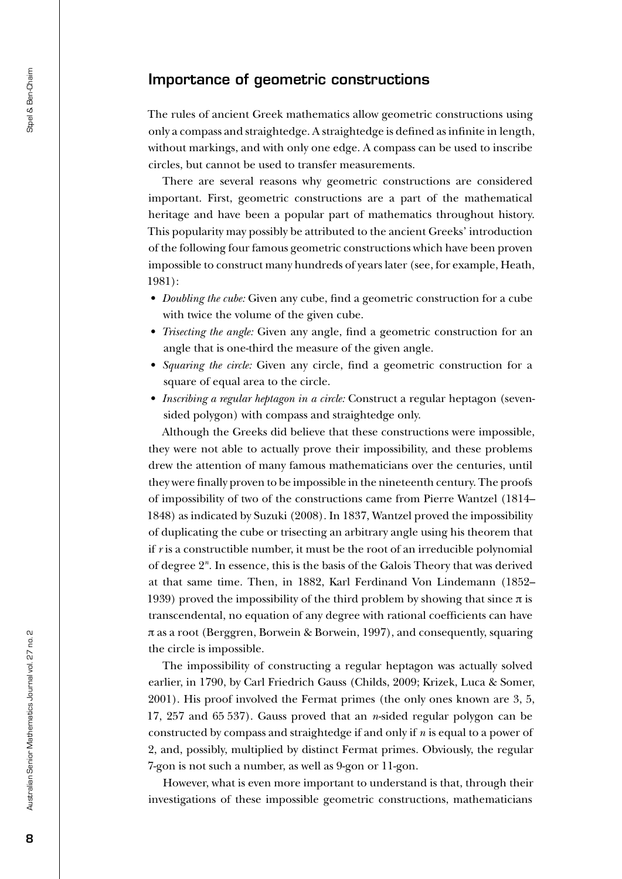# Importance of geometric constructions

The rules of ancient Greek mathematics allow geometric constructions using only a compass and straightedge. A straightedge is defined as infinite in length, without markings, and with only one edge. A compass can be used to inscribe circles, but cannot be used to transfer measurements.

There are several reasons why geometric constructions are considered important. First, geometric constructions are a part of the mathematical heritage and have been a popular part of mathematics throughout history. This popularity may possibly be attributed to the ancient Greeks' introduction of the following four famous geometric constructions which have been proven impossible to construct many hundreds of years later (see, for example, Heath, 1981):

- *• Doubling the cube:* Given any cube, find a geometric construction for a cube with twice the volume of the given cube.
- *• Trisecting the angle:* Given any angle, find a geometric construction for an angle that is one-third the measure of the given angle.
- *• Squaring the circle:* Given any circle, find a geometric construction for a square of equal area to the circle.
- *• Inscribing a regular heptagon in a circle:* Construct a regular heptagon (sevensided polygon) with compass and straightedge only.

Although the Greeks did believe that these constructions were impossible, they were not able to actually prove their impossibility, and these problems drew the attention of many famous mathematicians over the centuries, until they were finally proven to be impossible in the nineteenth century. The proofs of impossibility of two of the constructions came from Pierre Wantzel (1814– 1848) as indicated by Suzuki (2008). In 1837, Wantzel proved the impossibility of duplicating the cube or trisecting an arbitrary angle using his theorem that if *r* is a constructible number, it must be the root of an irreducible polynomial of degree 2*<sup>n</sup>* . In essence, this is the basis of the Galois Theory that was derived at that same time. Then, in 1882, Karl Ferdinand Von Lindemann (1852– 1939) proved the impossibility of the third problem by showing that since  $\pi$  is transcendental, no equation of any degree with rational coefficients can have π as a root (Berggren, Borwein & Borwein, 1997), and consequently, squaring the circle is impossible.

The impossibility of constructing a regular heptagon was actually solved earlier, in 1790, by Carl Friedrich Gauss (Childs, 2009; Krizek, Luca & Somer, 2001). His proof involved the Fermat primes (the only ones known are 3, 5, 17, 257 and 65 537). Gauss proved that an *n*-sided regular polygon can be constructed by compass and straightedge if and only if *n* is equal to a power of 2, and, possibly, multiplied by distinct Fermat primes. Obviously, the regular 7-gon is not such a number, as well as 9-gon or 11-gon.

However, what is even more important to understand is that, through their investigations of these impossible geometric constructions, mathematicians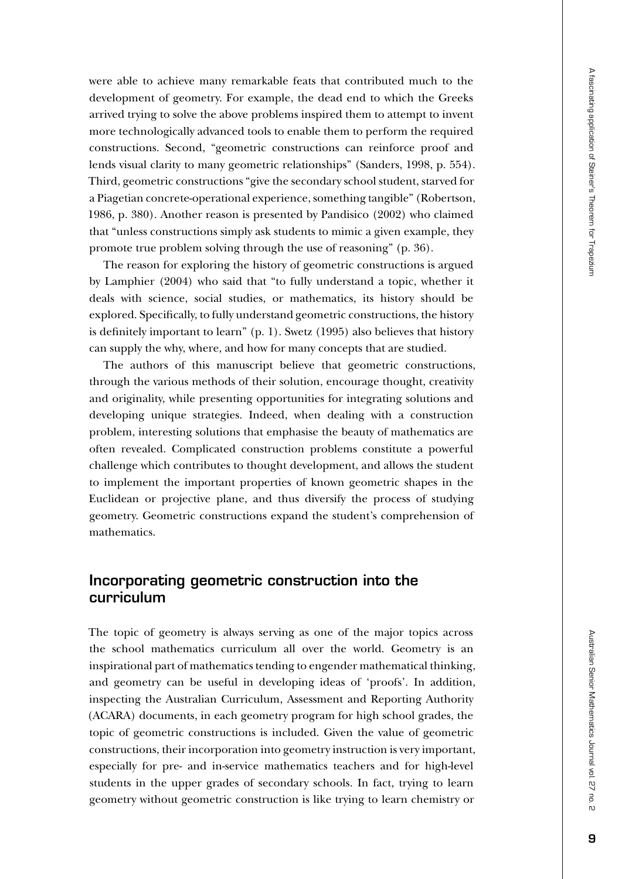were able to achieve many remarkable feats that contributed much to the development of geometry. For example, the dead end to which the Greeks arrived trying to solve the above problems inspired them to attempt to invent more technologically advanced tools to enable them to perform the required constructions. Second, "geometric constructions can reinforce proof and lends visual clarity to many geometric relationships" (Sanders, 1998, p. 554). Third, geometric constructions "give the secondary school student, starved for a Piagetian concrete-operational experience, something tangible" (Robertson, 1986, p. 380). Another reason is presented by Pandisico (2002) who claimed that "unless constructions simply ask students to mimic a given example, they promote true problem solving through the use of reasoning" (p. 36).

The reason for exploring the history of geometric constructions is argued by Lamphier (2004) who said that "to fully understand a topic, whether it deals with science, social studies, or mathematics, its history should be explored. Specifically, to fully understand geometric constructions, the history is definitely important to learn" (p. 1). Swetz (1995) also believes that history can supply the why, where, and how for many concepts that are studied.

The authors of this manuscript believe that geometric constructions, through the various methods of their solution, encourage thought, creativity and originality, while presenting opportunities for integrating solutions and developing unique strategies. Indeed, when dealing with a construction problem, interesting solutions that emphasise the beauty of mathematics are often revealed. Complicated construction problems constitute a powerful challenge which contributes to thought development, and allows the student to implement the important properties of known geometric shapes in the Euclidean or projective plane, and thus diversify the process of studying geometry. Geometric constructions expand the student's comprehension of mathematics.

# Incorporating geometric construction into the curriculum

The topic of geometry is always serving as one of the major topics across the school mathematics curriculum all over the world. Geometry is an inspirational part of mathematics tending to engender mathematical thinking, and geometry can be useful in developing ideas of 'proofs'. In addition, inspecting the Australian Curriculum, Assessment and Reporting Authority (ACARA) documents, in each geometry program for high school grades, the topic of geometric constructions is included. Given the value of geometric constructions, their incorporation into geometry instruction is very important, especially for pre- and in-service mathematics teachers and for high-level students in the upper grades of secondary schools. In fact, trying to learn geometry without geometric construction is like trying to learn chemistry or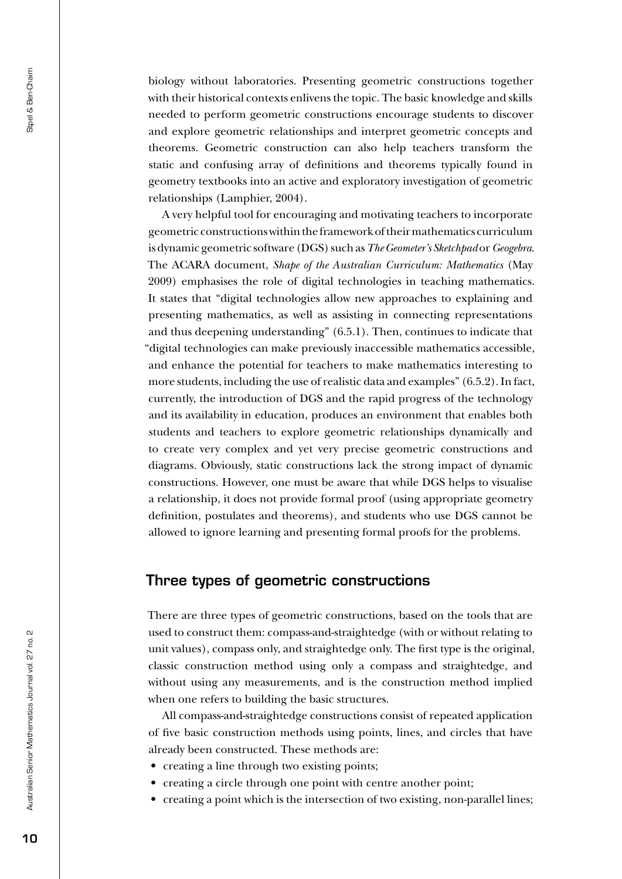biology without laboratories. Presenting geometric constructions together with their historical contexts enlivens the topic. The basic knowledge and skills needed to perform geometric constructions encourage students to discover and explore geometric relationships and interpret geometric concepts and theorems. Geometric construction can also help teachers transform the static and confusing array of definitions and theorems typically found in geometry textbooks into an active and exploratory investigation of geometric relationships (Lamphier, 2004).

A very helpful tool for encouraging and motivating teachers to incorporate geometric constructions within the framework of their mathematics curriculum is dynamic geometric software (DGS) such as *The Geometer's Sketchpad* or *Geogebra*. The ACARA document, *Shape of the Australian Curriculum: Mathematics* (May 2009) emphasises the role of digital technologies in teaching mathematics. It states that "digital technologies allow new approaches to explaining and presenting mathematics, as well as assisting in connecting representations and thus deepening understanding" (6.5.1). Then, continues to indicate that "digital technologies can make previously inaccessible mathematics accessible, and enhance the potential for teachers to make mathematics interesting to more students, including the use of realistic data and examples" (6.5.2). In fact, currently, the introduction of DGS and the rapid progress of the technology and its availability in education, produces an environment that enables both students and teachers to explore geometric relationships dynamically and to create very complex and yet very precise geometric constructions and diagrams. Obviously, static constructions lack the strong impact of dynamic constructions. However, one must be aware that while DGS helps to visualise a relationship, it does not provide formal proof (using appropriate geometry definition, postulates and theorems), and students who use DGS cannot be allowed to ignore learning and presenting formal proofs for the problems.

# Three types of geometric constructions

There are three types of geometric constructions, based on the tools that are used to construct them: compass-and-straightedge (with or without relating to unit values), compass only, and straightedge only. The first type is the original, classic construction method using only a compass and straightedge, and without using any measurements, and is the construction method implied when one refers to building the basic structures.

All compass-and-straightedge constructions consist of repeated application of five basic construction methods using points, lines, and circles that have already been constructed. These methods are:

- creating a line through two existing points;
- creating a circle through one point with centre another point;
- creating a point which is the intersection of two existing, non-parallel lines;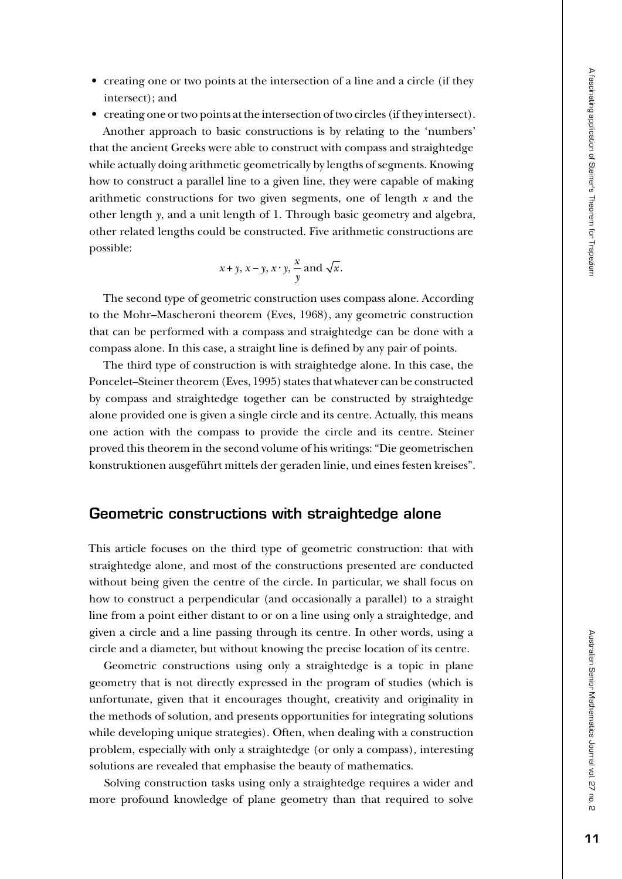• creating one or two points at the intersection of a line and a circle (if they intersect); and

• creating one or two points at the intersection of two circles (if they intersect). Another approach to basic constructions is by relating to the 'numbers' that the ancient Greeks were able to construct with compass and straightedge while actually doing arithmetic geometrically by lengths of segments. Knowing how to construct a parallel line to a given line, they were capable of making arithmetic constructions for two given segments, one of length *x* and the other length *y*, and a unit length of 1. Through basic geometry and algebra, other related lengths could be constructed. Five arithmetic constructions are possible:

$$
x + y
$$
,  $x - y$ ,  $x \cdot y$ ,  $\frac{x}{y}$  and  $\sqrt{x}$ .

The second type of geometric construction uses compass alone. According to the Mohr–Mascheroni theorem (Eves, 1968), any geometric construction that can be performed with a compass and straightedge can be done with a compass alone. In this case, a straight line is defined by any pair of points.

The third type of construction is with straightedge alone. In this case, the Poncelet–Steiner theorem (Eves, 1995) states that whatever can be constructed by compass and straightedge together can be constructed by straightedge alone provided one is given a single circle and its centre. Actually, this means one action with the compass to provide the circle and its centre. Steiner proved this theorem in the second volume of his writings: "Die geometrischen konstruktionen ausgeführt mittels der geraden linie, und eines festen kreises".

#### Geometric constructions with straightedge alone

This article focuses on the third type of geometric construction: that with straightedge alone, and most of the constructions presented are conducted without being given the centre of the circle. In particular, we shall focus on how to construct a perpendicular (and occasionally a parallel) to a straight line from a point either distant to or on a line using only a straightedge, and given a circle and a line passing through its centre. In other words, using a circle and a diameter, but without knowing the precise location of its centre.

Geometric constructions using only a straightedge is a topic in plane geometry that is not directly expressed in the program of studies (which is unfortunate, given that it encourages thought, creativity and originality in the methods of solution, and presents opportunities for integrating solutions while developing unique strategies). Often, when dealing with a construction problem, especially with only a straightedge (or only a compass), interesting solutions are revealed that emphasise the beauty of mathematics.

Solving construction tasks using only a straightedge requires a wider and more profound knowledge of plane geometry than that required to solve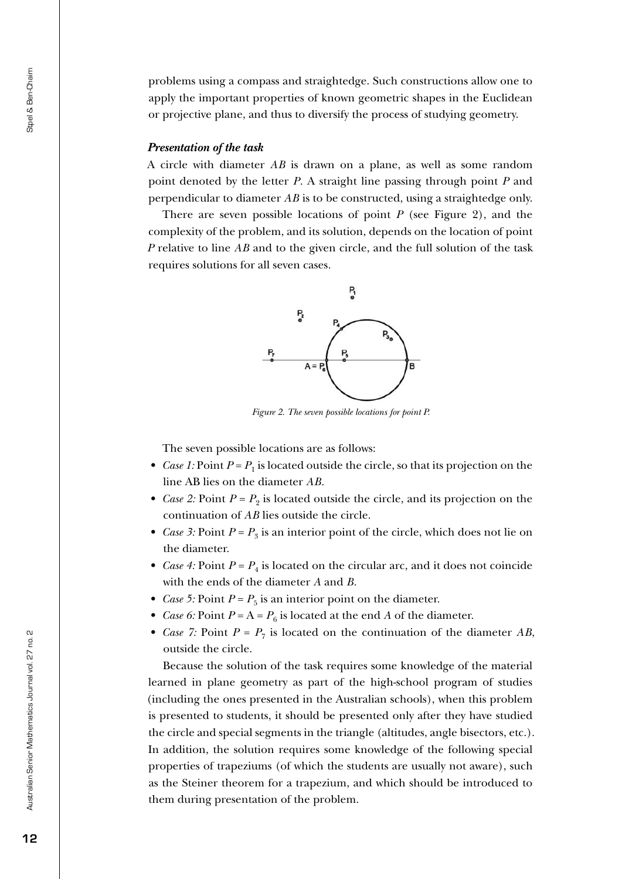problems using a compass and straightedge. Such constructions allow one to apply the important properties of known geometric shapes in the Euclidean or projective plane, and thus to diversify the process of studying geometry.

#### *Presentation of the task*

A circle with diameter *AB* is drawn on a plane, as well as some random point denoted by the letter *P*. A straight line passing through point *P* and perpendicular to diameter *AB* is to be constructed, using a straightedge only.

There are seven possible locations of point  $P$  (see Figure 2), and the complexity of the problem, and its solution, depends on the location of point *P* relative to line *AB* and to the given circle, and the full solution of the task requires solutions for all seven cases.



*Figure 2. The seven possible locations for point P.*

The seven possible locations are as follows:

- *Case 1:* Point  $P = P_1$  is located outside the circle, so that its projection on the line AB lies on the diameter *AB*.
- *Case 2:* Point  $P = P_2$  is located outside the circle, and its projection on the continuation of *AB* lies outside the circle.
- *Case 3:* Point  $P = P_3$  is an interior point of the circle, which does not lie on the diameter.
- *Case 4:* Point  $P = P_4$  is located on the circular arc, and it does not coincide with the ends of the diameter *A* and *B*.
- *Case 5*: Point  $P = P_5$  is an interior point on the diameter.
- *Case 6:* Point  $P = A = P_6$  is located at the end *A* of the diameter.
- *Case 7:* Point  $P = P_7$  is located on the continuation of the diameter AB, outside the circle.

Because the solution of the task requires some knowledge of the material learned in plane geometry as part of the high-school program of studies (including the ones presented in the Australian schools), when this problem is presented to students, it should be presented only after they have studied the circle and special segments in the triangle (altitudes, angle bisectors, etc.). In addition, the solution requires some knowledge of the following special properties of trapeziums (of which the students are usually not aware), such as the Steiner theorem for a trapezium, and which should be introduced to them during presentation of the problem.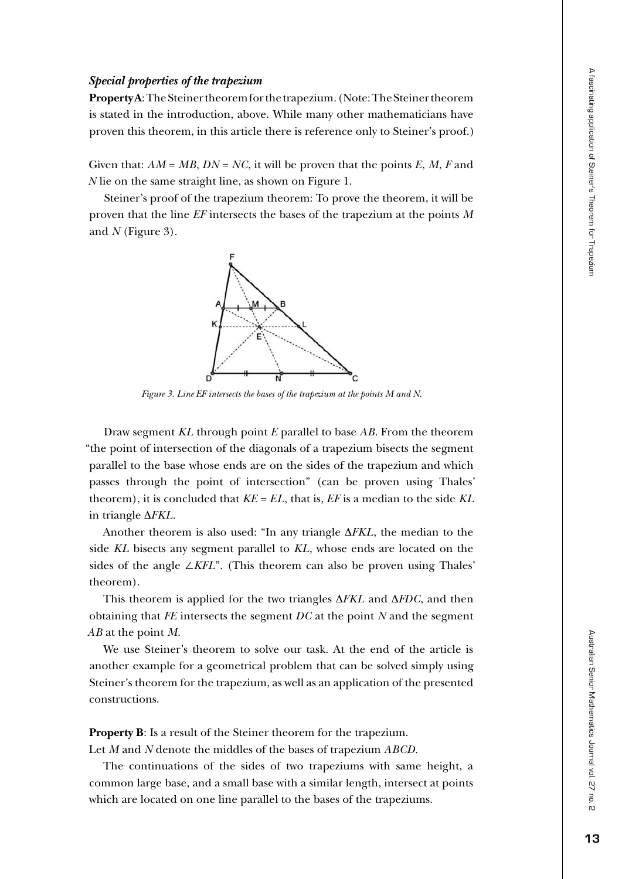# Australian Senior Mathematics Journal vol Australian Senior Mathematics Journal vol. 27 no. 2  $\overline{c}$  $\overline{a}$ ĥ٦.

#### *Special properties of the trapezium*

**Property A**: The Steiner theorem for the trapezium. (Note: The Steiner theorem is stated in the introduction, above. While many other mathematicians have proven this theorem, in this article there is reference only to Steiner's proof.)

Given that:  $AM = MB$ ,  $DN = NC$ , it will be proven that the points  $E$ ,  $M$ ,  $F$  and *N* lie on the same straight line, as shown on Figure 1.

Steiner's proof of the trapezium theorem: To prove the theorem, it will be proven that the line *EF* intersects the bases of the trapezium at the points *M* and *N* (Figure 3).



*Figure 3. Line EF intersects the bases of the trapezium at the points M and N.*

Draw segment *KL* through point *E* parallel to base *AB*. From the theorem "the point of intersection of the diagonals of a trapezium bisects the segment parallel to the base whose ends are on the sides of the trapezium and which passes through the point of intersection" (can be proven using Thales' theorem), it is concluded that *KE* = *EL*, that is, *EF* is a median to the side *KL* in triangle ∆*FKL*.

Another theorem is also used: "In any triangle ∆*FKL*, the median to the side *KL* bisects any segment parallel to *KL*, whose ends are located on the sides of the angle ∠*KFL*". (This theorem can also be proven using Thales' theorem).

This theorem is applied for the two triangles ∆*FKL* and ∆*FDC*, and then obtaining that *FE* intersects the segment *DC* at the point *N* and the segment *AB* at the point *M*.

We use Steiner's theorem to solve our task. At the end of the article is another example for a geometrical problem that can be solved simply using Steiner's theorem for the trapezium, as well as an application of the presented constructions.

**Property B**: Is a result of the Steiner theorem for the trapezium.

Let *M* and *N* denote the middles of the bases of trapezium *ABCD*.

The continuations of the sides of two trapeziums with same height, a common large base, and a small base with a similar length, intersect at points which are located on one line parallel to the bases of the trapeziums.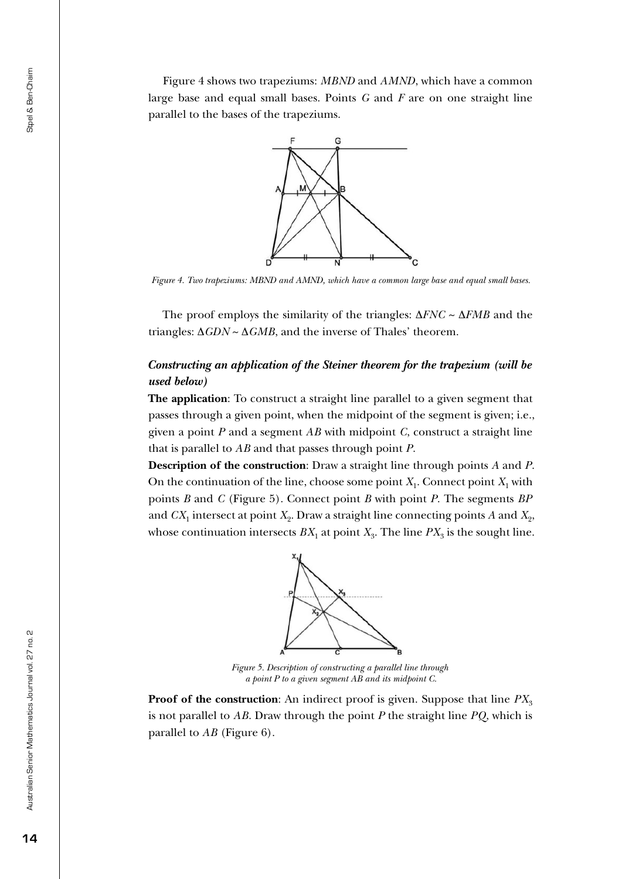Figure 4 shows two trapeziums: *MBND* and *AMND*, which have a common large base and equal small bases. Points *G* and *F* are on one straight line parallel to the bases of the trapeziums.



*Figure 4. Two trapeziums: MBND and AMND, which have a common large base and equal small bases.*

The proof employs the similarity of the triangles: ∆*FNC* ~ ∆*FMB* and the triangles: ∆*GDN* ~ ∆*GMB*, and the inverse of Thales' theorem.

## *Constructing an application of the Steiner theorem for the trapezium (will be used below)*

**The application**: To construct a straight line parallel to a given segment that passes through a given point, when the midpoint of the segment is given; i.e., given a point *P* and a segment *AB* with midpoint *C*, construct a straight line that is parallel to *AB* and that passes through point *P*.

**Description of the construction**: Draw a straight line through points *A* and *P*. On the continuation of the line, choose some point  $X_1$ . Connect point  $X_1$  with points *B* and *C* (Figure 5). Connect point *B* with point *P*. The segments *BP* and  $CX_1$  intersect at point  $X_2$ . Draw a straight line connecting points *A* and  $X_2$ , whose continuation intersects  $BX_1$  at point  $X_3$ . The line  $PX_3$  is the sought line.



*Figure 5. Description of constructing a parallel line through a point P to a given segment AB and its midpoint C.*

**Proof of the construction**: An indirect proof is given. Suppose that line  $PX_3$ is not parallel to *AB*. Draw through the point *P* the straight line *PQ*, which is parallel to *AB* (Figure 6).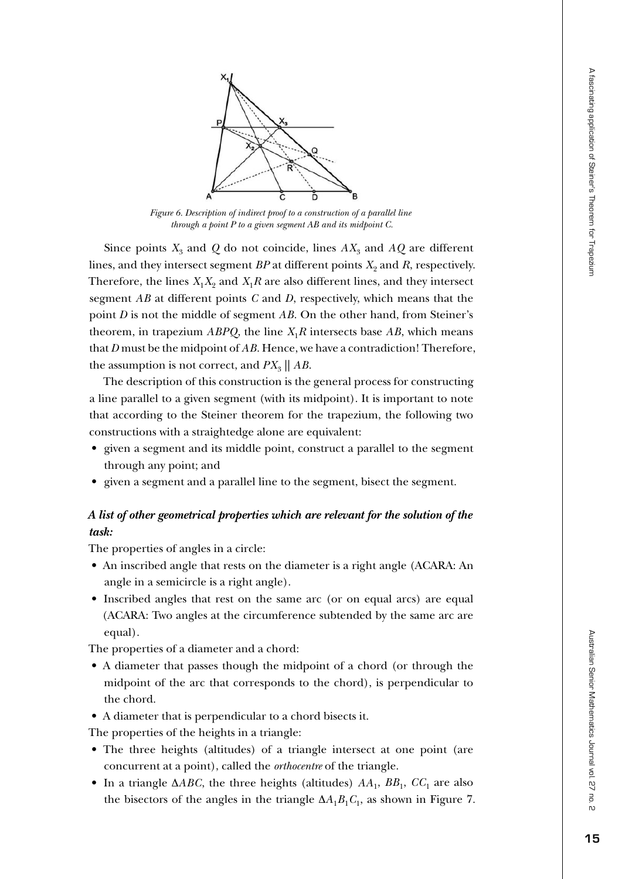



*Figure 6. Description of indirect proof to a construction of a parallel line through a point P to a given segment AB and its midpoint C.*

Since points  $X_3$  and  $Q$  do not coincide, lines  $AX_3$  and  $AQ$  are different lines, and they intersect segment  $BP$  at different points  $X_2$  and  $R$ , respectively. Therefore, the lines  $X_1X_2$  and  $X_1R$  are also different lines, and they intersect segment *AB* at different points *C* and *D*, respectively, which means that the point *D* is not the middle of segment *AB*. On the other hand, from Steiner's theorem, in trapezium  $ABPQ$ , the line  $X_1R$  intersects base  $AB$ , which means that *D* must be the midpoint of *AB*. Hence, we have a contradiction! Therefore, the assumption is not correct, and  $PX_{3}$  ||  $AB$ .

The description of this construction is the general process for constructing a line parallel to a given segment (with its midpoint). It is important to note that according to the Steiner theorem for the trapezium, the following two constructions with a straightedge alone are equivalent:

- given a segment and its middle point, construct a parallel to the segment through any point; and
- given a segment and a parallel line to the segment, bisect the segment.

# *A list of other geometrical properties which are relevant for the solution of the task:*

The properties of angles in a circle:

- An inscribed angle that rests on the diameter is a right angle (ACARA: An angle in a semicircle is a right angle).
- Inscribed angles that rest on the same arc (or on equal arcs) are equal (ACARA: Two angles at the circumference subtended by the same arc are equal).

The properties of a diameter and a chord:

- A diameter that passes though the midpoint of a chord (or through the midpoint of the arc that corresponds to the chord), is perpendicular to the chord.
- A diameter that is perpendicular to a chord bisects it.

The properties of the heights in a triangle:

- The three heights (altitudes) of a triangle intersect at one point (are concurrent at a point), called the *orthocentre* of the triangle.
- In a triangle  $\triangle ABC$ , the three heights (altitudes)  $AA_1$ ,  $BB_1$ ,  $CC_1$  are also the bisectors of the angles in the triangle  $\Delta A_1 B_1 C_1$ , as shown in Figure 7.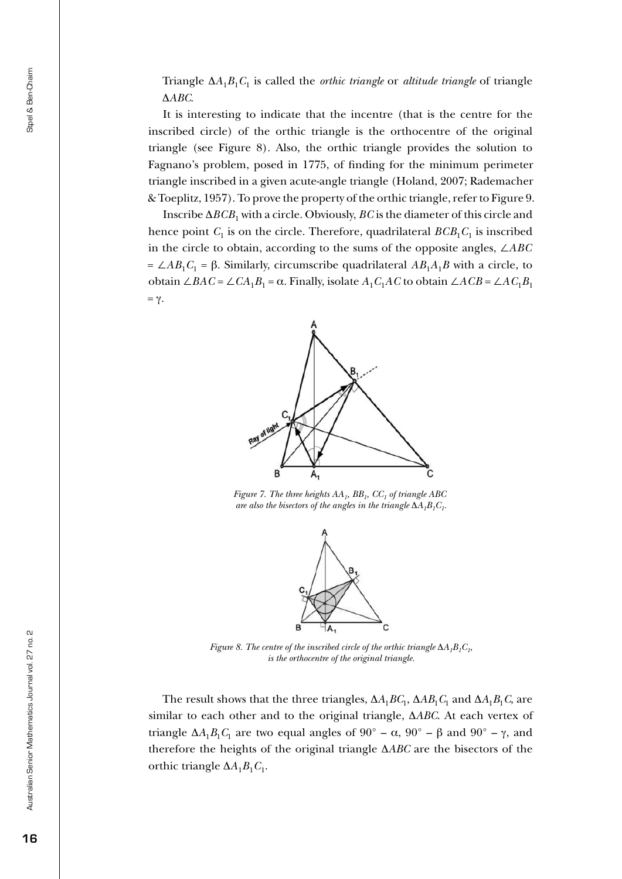Triangle ∆*A*1*B*1*C*1 is called the *orthic triangle* or *altitude triangle* of triangle ∆*ABC*.

It is interesting to indicate that the incentre (that is the centre for the inscribed circle) of the orthic triangle is the orthocentre of the original triangle (see Figure 8). Also, the orthic triangle provides the solution to Fagnano's problem, posed in 1775, of finding for the minimum perimeter triangle inscribed in a given acute-angle triangle (Holand, 2007; Rademacher & Toeplitz, 1957). To prove the property of the orthic triangle, refer to Figure 9.

Inscribe  $\Delta BCB_1$  with a circle. Obviously, *BC* is the diameter of this circle and hence point  $C_1$  is on the circle. Therefore, quadrilateral  $BCB_1C_1$  is inscribed in the circle to obtain, according to the sums of the opposite angles, ∠*ABC*  $= \angle AB_1C_1 = \beta$ . Similarly, circumscribe quadrilateral  $AB_1A_1B$  with a circle, to obtain ∠*BAC* = ∠*CA*1*B*1 = α. Finally, isolate *A*1*C*1*AC* to obtain ∠*ACB* = ∠*AC*1*B*<sup>1</sup>  $= γ.$ 



*Figure 7. The three heights*  $AA_1$ *,*  $BB_1$ *,*  $CC_1$  *of triangle ABC are also the bisectors of the angles in the triangle*  $\Delta A_1 B_1 C_1$ .



*Figure 8. The centre of the inscribed circle of the orthic triangle*  $\Delta A_1 B_1 C_1$ , *is the orthocentre of the original triangle.*

The result shows that the three triangles,  $\Delta A_1 B C_1$ ,  $\Delta A B_1 C_1$  and  $\Delta A_1 B_1 C_2$ , are similar to each other and to the original triangle, ∆*ABC*. At each vertex of triangle  $\Delta A_1 B_1 C_1$  are two equal angles of 90° –  $\alpha$ , 90° –  $\beta$  and 90° –  $\gamma$ , and therefore the heights of the original triangle ∆*ABC* are the bisectors of the orthic triangle  $\Delta A_1 B_1 C_1$ .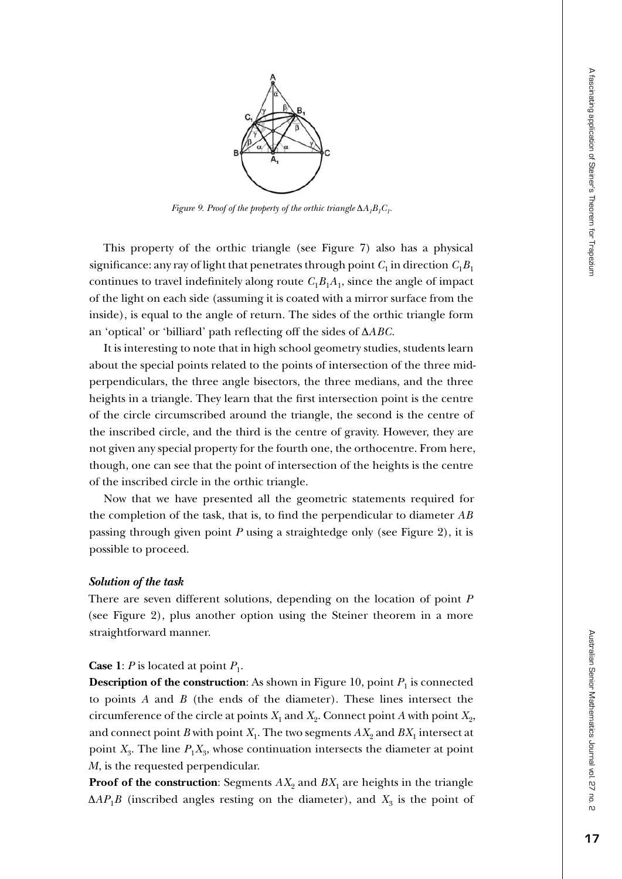

*Figure 9. Proof of the property of the orthic triangle*  $\Delta A_1B_1C_1$ .

This property of the orthic triangle (see Figure 7) also has a physical significance: any ray of light that penetrates through point  $C_1$  in direction  $C_1B_1$ continues to travel indefinitely along route  $C_1B_1A_1$ , since the angle of impact of the light on each side (assuming it is coated with a mirror surface from the inside), is equal to the angle of return. The sides of the orthic triangle form an 'optical' or 'billiard' path reflecting off the sides of Δ*ABC*.

It is interesting to note that in high school geometry studies, students learn about the special points related to the points of intersection of the three midperpendiculars, the three angle bisectors, the three medians, and the three heights in a triangle. They learn that the first intersection point is the centre of the circle circumscribed around the triangle, the second is the centre of the inscribed circle, and the third is the centre of gravity. However, they are not given any special property for the fourth one, the orthocentre. From here, though, one can see that the point of intersection of the heights is the centre of the inscribed circle in the orthic triangle.

Now that we have presented all the geometric statements required for the completion of the task, that is, to find the perpendicular to diameter *AB* passing through given point *P* using a straightedge only (see Figure 2), it is possible to proceed.

#### *Solution of the task*

There are seven different solutions, depending on the location of point *P* (see Figure 2), plus another option using the Steiner theorem in a more straightforward manner.

#### **Case 1**: *P* is located at point  $P_1$ .

**Description of the construction**: As shown in Figure 10, point  $P_1$  is connected to points *A* and *B* (the ends of the diameter). These lines intersect the circumference of the circle at points  $X_1$  and  $X_2$ . Connect point *A* with point  $X_2$ , and connect point *B* with point  $X_1$ . The two segments  $AX_2$  and  $BX_1$  intersect at point  $X_3$ . The line  $P_1X_3$ , whose continuation intersects the diameter at point *M*, is the requested perpendicular.

**Proof of the construction:** Segments  $AX_2$  and  $BX_1$  are heights in the triangle  $\Delta AP_1B$  (inscribed angles resting on the diameter), and  $X_3$  is the point of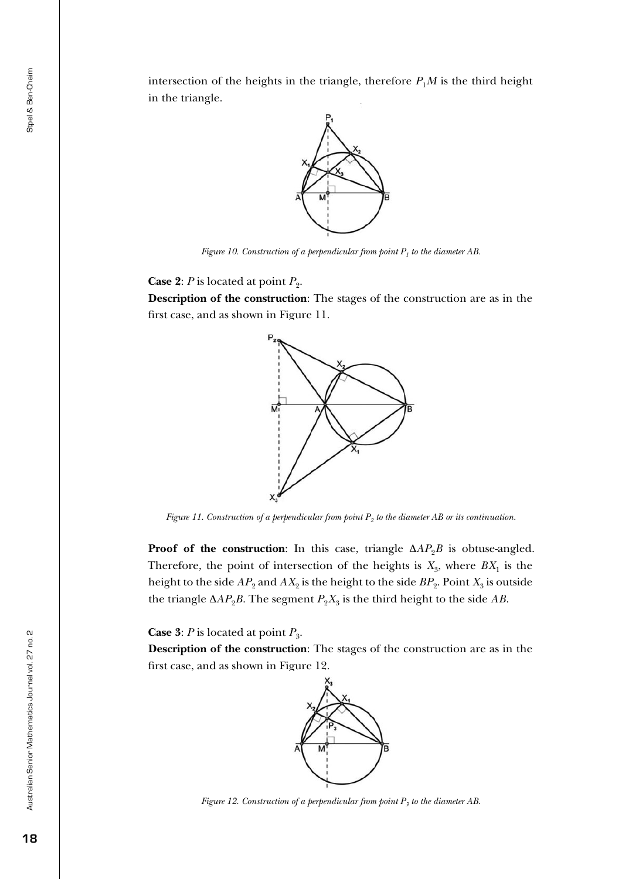intersection of the heights in the triangle, therefore  $P_1M$  is the third height in the triangle.



*Figure 10. Construction of a perpendicular from point*  $P<sub>1</sub>$  to the diameter AB.

**Case 2:** *P* is located at point  $P_2$ .

**Description of the construction**: The stages of the construction are as in the first case, and as shown in Figure 11.



*Figure 11. Construction of a perpendicular from point P<sub>2</sub> to the diameter AB or its continuation.* 

**Proof of the construction**: In this case, triangle  $\Delta AP_2B$  is obtuse-angled. Therefore, the point of intersection of the heights is  $X_3$ , where  $BX_1$  is the height to the side  $AP_2$  and  $AX_2$  is the height to the side  $BP_2$ . Point  $X_3$  is outside the triangle  $\Delta AP_2B$ . The segment  $P_2X_3$  is the third height to the side *AB*.

**Case 3**: *P* is located at point  $P_3$ .

**Description of the construction**: The stages of the construction are as in the first case, and as shown in Figure 12.



*Figure 12. Construction of a perpendicular from point*  $P_3$  *to the diameter AB.*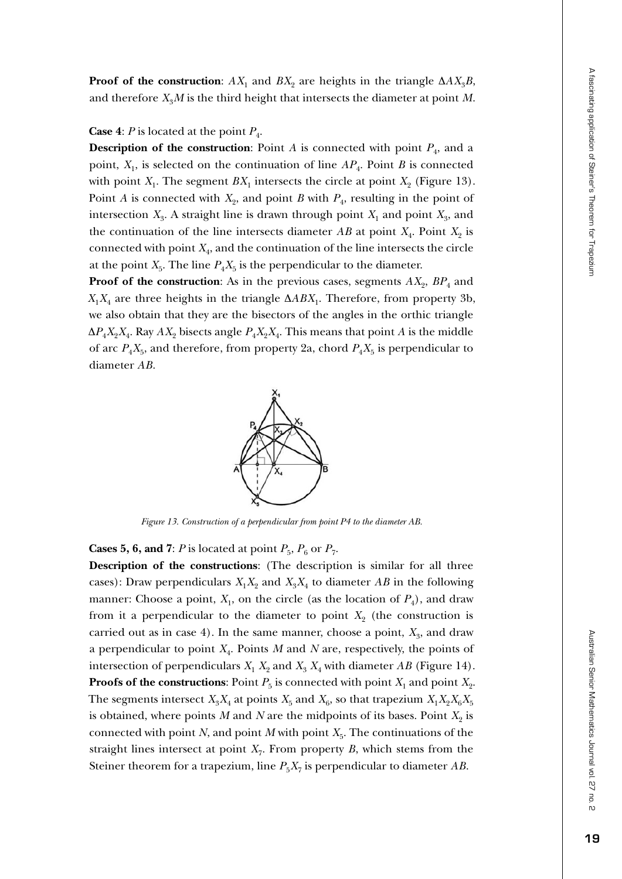**Proof of the construction**:  $AX_1$  and  $BX_2$  are heights in the triangle  $\Delta AX_3B$ , and therefore  $X_3M$  is the third height that intersects the diameter at point M.

**Case 4**: *P* is located at the point  $P_4$ .

**Description of the construction**: Point *A* is connected with point  $P_4$ , and a point,  $X_1$ , is selected on the continuation of line  $AP_4$ . Point *B* is connected with point  $X_1$ . The segment  $BX_1$  intersects the circle at point  $X_2$  (Figure 13). Point *A* is connected with  $X_2$ , and point *B* with  $P_4$ , resulting in the point of intersection  $X_3$ . A straight line is drawn through point  $X_1$  and point  $X_3$ , and the continuation of the line intersects diameter  $AB$  at point  $X_4$ . Point  $X_2$  is connected with point  $X_4$ , and the continuation of the line intersects the circle at the point  $X_5$ . The line  $P_4X_5$  is the perpendicular to the diameter.

**Proof of the construction:** As in the previous cases, segments  $AX_2$ ,  $BP_4$  and  $X_1X_4$  are three heights in the triangle  $\Delta ABX_1$ . Therefore, from property 3b, we also obtain that they are the bisectors of the angles in the orthic triangle  $\Delta P_4 X_2 X_4$ . Ray  $AX_2$  bisects angle  $P_4 X_2 X_4$ . This means that point *A* is the middle of arc  $P_4X_5$ , and therefore, from property 2a, chord  $P_4X_5$  is perpendicular to diameter *AB*.



*Figure 13. Construction of a perpendicular from point P4 to the diameter AB.*

**Cases 5, 6, and 7**: *P* is located at point  $P_5$ ,  $P_6$  or  $P_7$ .

**Description of the constructions**: (The description is similar for all three cases): Draw perpendiculars  $X_1X_2$  and  $X_3X_4$  to diameter *AB* in the following manner: Choose a point,  $X_1$ , on the circle (as the location of  $P_4$ ), and draw from it a perpendicular to the diameter to point  $X_2$  (the construction is carried out as in case 4). In the same manner, choose a point,  $X_3$ , and draw a perpendicular to point *X*4. Points *M* and *N* are, respectively, the points of intersection of perpendiculars  $X_1$   $X_2$  and  $X_3$   $X_4$  with diameter *AB* (Figure 14). **Proofs of the constructions:** Point  $P_5$  is connected with point  $X_1$  and point  $X_2$ . The segments intersect  $X_3X_4$  at points  $X_5$  and  $X_6$ , so that trapezium  $X_1X_2X_6X_5$ is obtained, where points  $M$  and  $N$  are the midpoints of its bases. Point  $X_2$  is connected with point *N*, and point *M* with point  $X_5$ . The continuations of the straight lines intersect at point  $X_7$ . From property  $B$ , which stems from the Steiner theorem for a trapezium, line  $P_5X_7$  is perpendicular to diameter *AB*.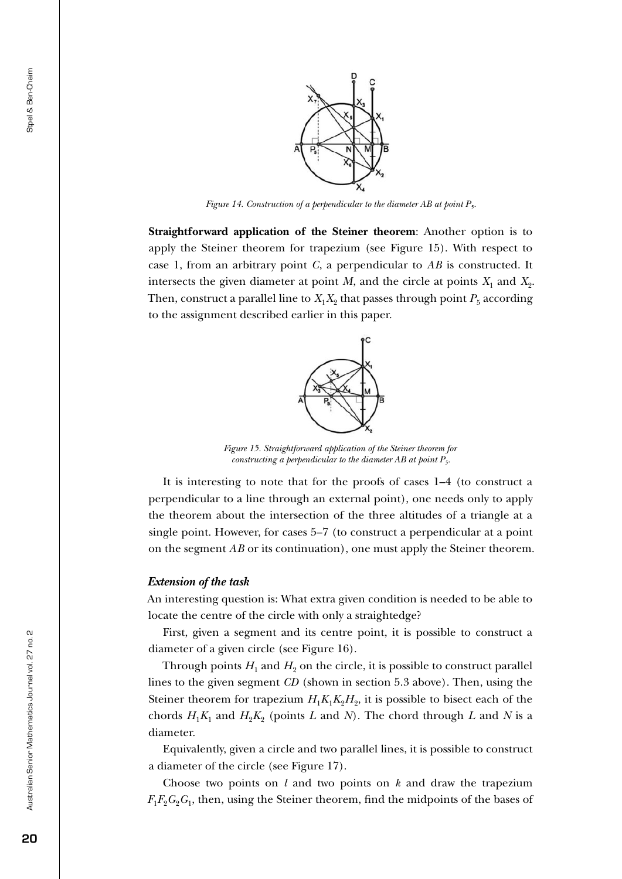

*Figure 14. Construction of a perpendicular to the diameter AB at point P5.*

**Straightforward application of the Steiner theorem**: Another option is to apply the Steiner theorem for trapezium (see Figure 15). With respect to case 1, from an arbitrary point *C*, a perpendicular to *AB* is constructed. It intersects the given diameter at point *M*, and the circle at points  $X_1$  and  $X_2$ . Then, construct a parallel line to  $X_1X_2$  that passes through point  $P_5$  according to the assignment described earlier in this paper.



*Figure 15. Straightforward application of the Steiner theorem for constructing a perpendicular to the diameter AB at point P5.*

It is interesting to note that for the proofs of cases 1–4 (to construct a perpendicular to a line through an external point), one needs only to apply the theorem about the intersection of the three altitudes of a triangle at a single point. However, for cases 5–7 (to construct a perpendicular at a point on the segment *AB* or its continuation), one must apply the Steiner theorem.

#### *Extension of the task*

An interesting question is: What extra given condition is needed to be able to locate the centre of the circle with only a straightedge?

First, given a segment and its centre point, it is possible to construct a diameter of a given circle (see Figure 16).

Through points  $H_1$  and  $H_2$  on the circle, it is possible to construct parallel lines to the given segment *CD* (shown in section 5.3 above). Then, using the Steiner theorem for trapezium  $H_1K_1K_2H_2$ , it is possible to bisect each of the chords  $H_1K_1$  and  $H_2K_2$  (points *L* and *N*). The chord through *L* and *N* is a diameter.

Equivalently, given a circle and two parallel lines, it is possible to construct a diameter of the circle (see Figure 17).

Choose two points on *l* and two points on *k* and draw the trapezium  $F_1F_2G_2G_1$ , then, using the Steiner theorem, find the midpoints of the bases of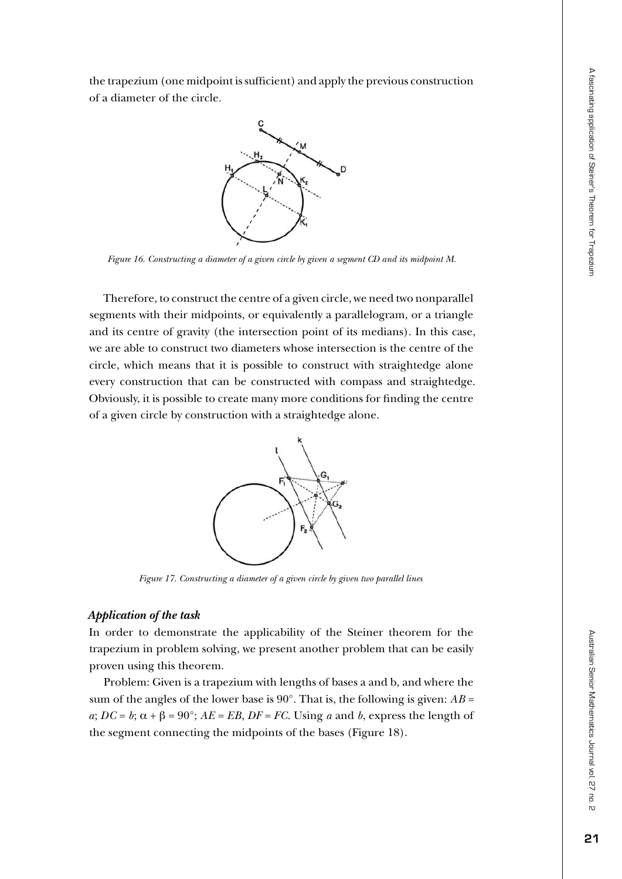the trapezium (one midpoint is sufficient) and apply the previous construction of a diameter of the circle.



*Figure 16. Constructing a diameter of a given circle by given a segment CD and its midpoint M.*

Therefore, to construct the centre of a given circle, we need two nonparallel segments with their midpoints, or equivalently a parallelogram, or a triangle and its centre of gravity (the intersection point of its medians). In this case, we are able to construct two diameters whose intersection is the centre of the circle, which means that it is possible to construct with straightedge alone every construction that can be constructed with compass and straightedge. Obviously, it is possible to create many more conditions for finding the centre of a given circle by construction with a straightedge alone.



*Figure 17. Constructing a diameter of a given circle by given two parallel lines*

#### *Application of the task*

In order to demonstrate the applicability of the Steiner theorem for the trapezium in problem solving, we present another problem that can be easily proven using this theorem.

Problem: Given is a trapezium with lengths of bases a and b, and where the sum of the angles of the lower base is  $90^\circ$ . That is, the following is given:  $AB =$  $a; DC = b; \alpha + \beta = 90^{\circ}; AE = EB, DF = FC$ . Using *a* and *b*, express the length of the segment connecting the midpoints of the bases (Figure 18).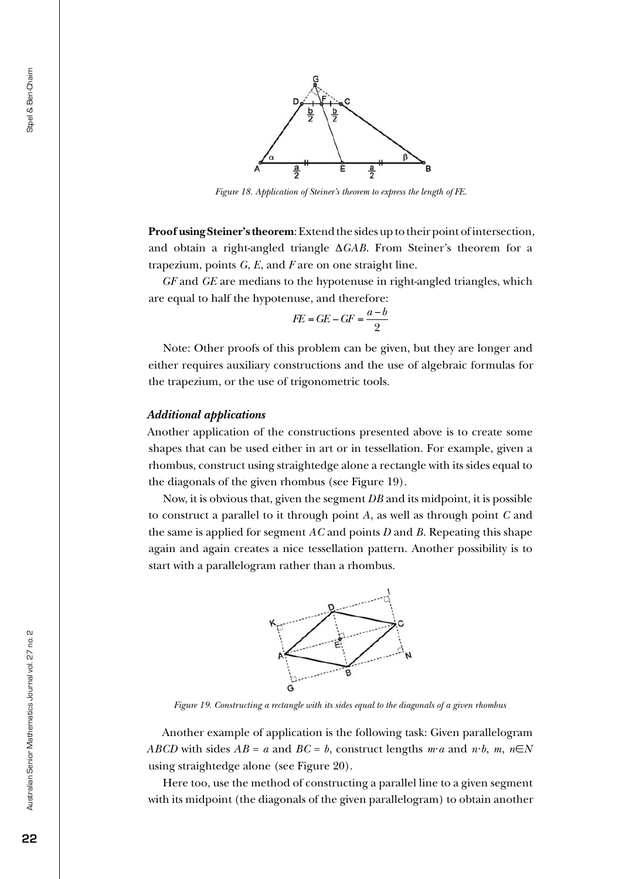

*Figure 18. Application of Steiner's theorem to express the length of FE.*

**Proof using Steiner's theorem**: Extend the sides up to their point of intersection, and obtain a right-angled triangle ∆*GAB*. From Steiner's theorem for a trapezium, points *G*, *E*, and *F* are on one straight line.

*GF* and *GE* are medians to the hypotenuse in right-angled triangles, which are equal to half the hypotenuse, and therefore:

$$
FE = GE - GF = \frac{a - b}{2}
$$

Note: Other proofs of this problem can be given, but they are longer and either requires auxiliary constructions and the use of algebraic formulas for the trapezium, or the use of trigonometric tools.

#### *Additional applications*

Another application of the constructions presented above is to create some shapes that can be used either in art or in tessellation. For example, given a rhombus, construct using straightedge alone a rectangle with its sides equal to the diagonals of the given rhombus (see Figure 19).

Now, it is obvious that, given the segment *DB* and its midpoint, it is possible to construct a parallel to it through point *A*, as well as through point *C* and the same is applied for segment *AC* and points *D* and *B*. Repeating this shape again and again creates a nice tessellation pattern. Another possibility is to start with a parallelogram rather than a rhombus.



*Figure 19. Constructing a rectangle with its sides equal to the diagonals of a given rhombus*

Another example of application is the following task: Given parallelogram *ABCD* with sides  $AB = a$  and  $BC = b$ , construct lengths  $m \cdot a$  and  $n \cdot b$ ,  $m \cdot n \in N$ using straightedge alone (see Figure 20).

Here too, use the method of constructing a parallel line to a given segment with its midpoint (the diagonals of the given parallelogram) to obtain another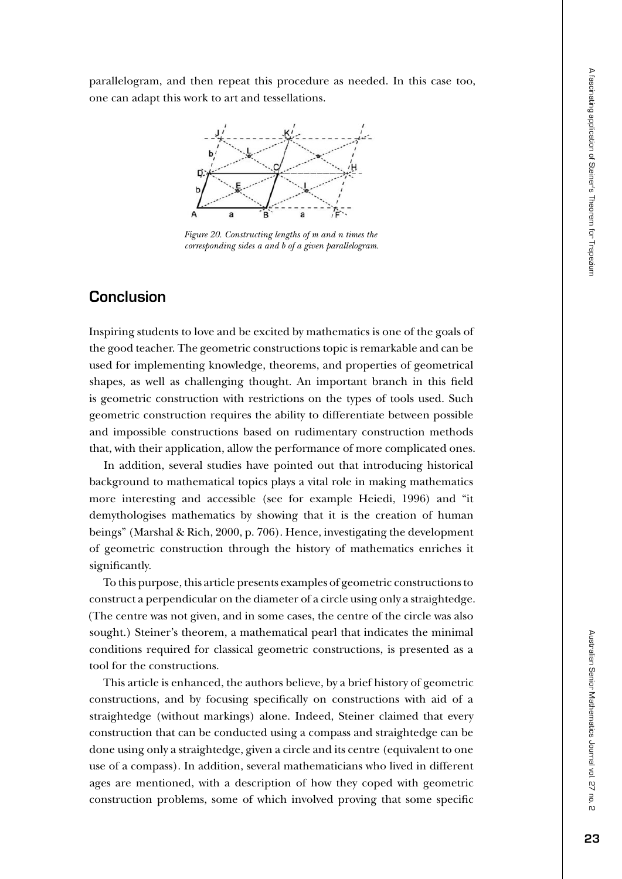parallelogram, and then repeat this procedure as needed. In this case too, one can adapt this work to art and tessellations.



*Figure 20. Constructing lengths of m and n times the corresponding sides a and b of a given parallelogram.*

# **Conclusion**

Inspiring students to love and be excited by mathematics is one of the goals of the good teacher. The geometric constructions topic is remarkable and can be used for implementing knowledge, theorems, and properties of geometrical shapes, as well as challenging thought. An important branch in this field is geometric construction with restrictions on the types of tools used. Such geometric construction requires the ability to differentiate between possible and impossible constructions based on rudimentary construction methods that, with their application, allow the performance of more complicated ones.

In addition, several studies have pointed out that introducing historical background to mathematical topics plays a vital role in making mathematics more interesting and accessible (see for example Heiedi, 1996) and "it demythologises mathematics by showing that it is the creation of human beings" (Marshal & Rich, 2000, p. 706). Hence, investigating the development of geometric construction through the history of mathematics enriches it significantly.

To this purpose, this article presents examples of geometric constructions to construct a perpendicular on the diameter of a circle using only a straightedge. (The centre was not given, and in some cases, the centre of the circle was also sought.) Steiner's theorem, a mathematical pearl that indicates the minimal conditions required for classical geometric constructions, is presented as a tool for the constructions.

This article is enhanced, the authors believe, by a brief history of geometric constructions, and by focusing specifically on constructions with aid of a straightedge (without markings) alone. Indeed, Steiner claimed that every construction that can be conducted using a compass and straightedge can be done using only a straightedge, given a circle and its centre (equivalent to one use of a compass). In addition, several mathematicians who lived in different ages are mentioned, with a description of how they coped with geometric construction problems, some of which involved proving that some specific